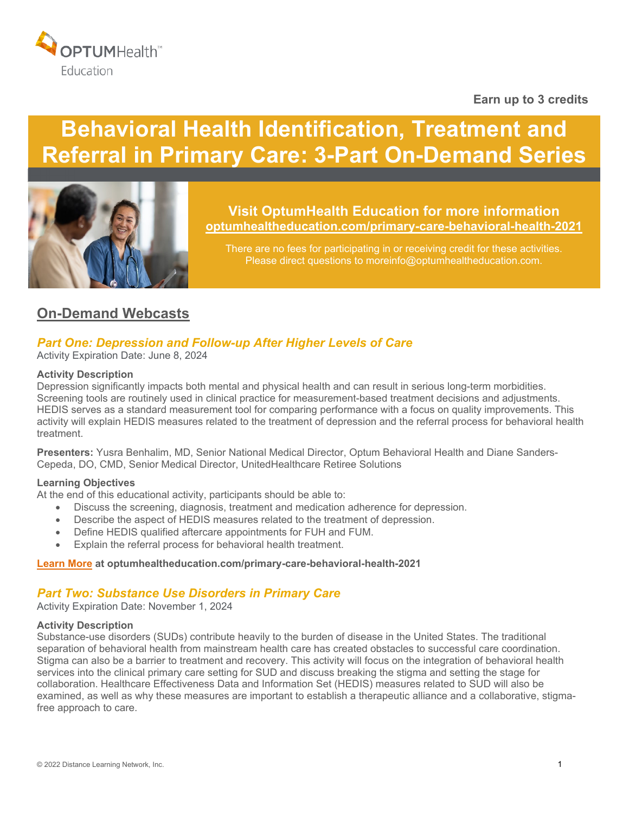

## **Earn up to 3 credits**

# **Behavioral Health Identification, Treatment and Referral in Primary Care: 3-Part On-Demand Series**



**Visit OptumHealth Education for more information [optumhealtheducation.com/primary-care-behavioral-health-2021](https://www.optumhealtheducation.com/primary-care-behavioral-health-2021)**

There are no fees for participating in or receiving credit for these activities. Please direct questions to moreinfo@optumhealtheducation.com.

# **On-Demand Webcasts**

# *Part One: Depression and Follow-up After Higher Levels of Care*

Activity Expiration Date: June 8, 2024

#### **Activity Description**

Depression significantly impacts both mental and physical health and can result in serious long-term morbidities. Screening tools are routinely used in clinical practice for measurement-based treatment decisions and adjustments. HEDIS serves as a standard measurement tool for comparing performance with a focus on quality improvements. This activity will explain HEDIS measures related to the treatment of depression and the referral process for behavioral health treatment.

**Presenters:** Yusra Benhalim, MD, Senior National Medical Director, Optum Behavioral Health and Diane Sanders-Cepeda, DO, CMD, Senior Medical Director, UnitedHealthcare Retiree Solutions

#### **Learning Objectives**

At the end of this educational activity, participants should be able to:

- Discuss the screening, diagnosis, treatment and medication adherence for depression.
- Describe the aspect of HEDIS measures related to the treatment of depression.
- Define HEDIS qualified aftercare appointments for FUH and FUM.
- Explain the referral process for behavioral health treatment.

#### **[Learn More](https://www.optumhealtheducation.com/primary-care-behavioral-health-2021) at [optumhealtheducation.com/primary-care-behavioral-health-2021](https://www.optumhealtheducation.com/primary-care-behavioral-health-2021)**

#### *Part Two: Substance Use Disorders in Primary Care*

Activity Expiration Date: November 1, 2024

#### **Activity Description**

Substance-use disorders (SUDs) contribute heavily to the burden of disease in the United States. The traditional separation of behavioral health from mainstream health care has created obstacles to successful care coordination. Stigma can also be a barrier to treatment and recovery. This activity will focus on the integration of behavioral health services into the clinical primary care setting for SUD and discuss breaking the stigma and setting the stage for collaboration. Healthcare Effectiveness Data and Information Set (HEDIS) measures related to SUD will also be examined, as well as why these measures are important to establish a therapeutic alliance and a collaborative, stigmafree approach to care.